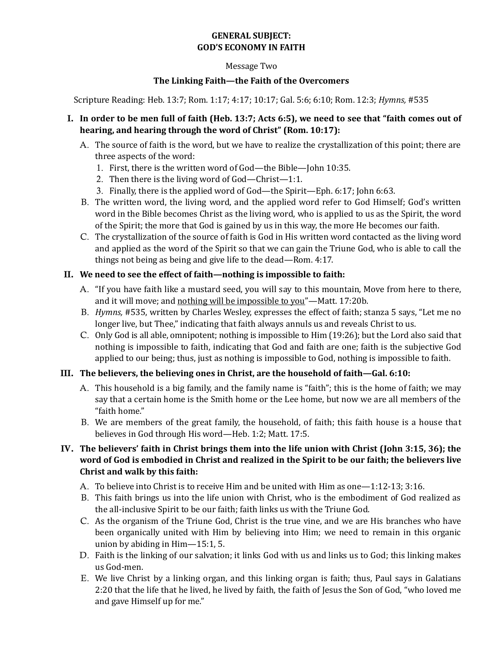# **GENERAL SUBJECT: GOD'S ECONOMY IN FAITH**

#### Message Two

### **The Linking Faith—the Faith of the Overcomers**

Scripture Reading: Heb. 13:7; Rom. 1:17; 4:17; 10:17; Gal. 5:6; 6:10; Rom. 12:3; *Hymns,* #535

### I. **In order to be men full of faith (Heb. 13:7; Acts 6:5), we need to see that "faith comes out of hearing, and hearing through the word of Christ" (Rom. 10:17):**

- A. The source of faith is the word, but we have to realize the crystallization of this point; there are three aspects of the word:
	- 1. First, there is the written word of God—the Bible—John 10:35.
	- 2. Then there is the living word of God—Christ—1:1.
	- 3. Finally, there is the applied word of God—the Spirit—Eph. 6:17; John 6:63.
- B. The written word, the living word, and the applied word refer to God Himself; God's written word in the Bible becomes Christ as the living word, who is applied to us as the Spirit, the word of the Spirit; the more that God is gained by us in this way, the more He becomes our faith.
- C. The crystallization of the source of faith is God in His written word contacted as the living word and applied as the word of the Spirit so that we can gain the Triune God, who is able to call the things not being as being and give life to the dead—Rom. 4:17.

### II. **We need to see the effect of faith—nothing is impossible to faith:**

- A. "If you have faith like a mustard seed, you will say to this mountain, Move from here to there, and it will move; and nothing will be impossible to you"—Matt. 17:20b.
- B. *Hymns,* #535, written by Charles Wesley, expresses the effect of faith; stanza 5 says, "Let me no longer live, but Thee," indicating that faith always annuls us and reveals Christ to us.
- C. Only God is all able, omnipotent; nothing is impossible to Him (19:26); but the Lord also said that nothing is impossible to faith, indicating that God and faith are one; faith is the subjective God applied to our being; thus, just as nothing is impossible to God, nothing is impossible to faith.

### III. **The believers, the believing ones in Christ, are the household of faith—Gal. 6:10:**

- A. This household is a big family, and the family name is "faith"; this is the home of faith; we may say that a certain home is the Smith home or the Lee home, but now we are all members of the "faith home."
- B. We are members of the great family, the household, of faith; this faith house is a house that believes in God through His word—Heb. 1:2; Matt. 17:5.

# IV. **The believers' faith in Christ brings them into the life union with Christ (John 3:15, 36); the word of God is embodied in Christ and realized in the Spirit to be our faith; the believers live Christ and walk by this faith:**

- A. To believe into Christ is to receive Him and be united with Him as one—1:12-13; 3:16.
- B. This faith brings us into the life union with Christ, who is the embodiment of God realized as the all-inclusive Spirit to be our faith; faith links us with the Triune God.
- C. As the organism of the Triune God, Christ is the true vine, and we are His branches who have been organically united with Him by believing into Him; we need to remain in this organic union by abiding in Him—15:1, 5.
- D. Faith is the linking of our salvation; it links God with us and links us to God; this linking makes us God-men.
- E. We live Christ by a linking organ, and this linking organ is faith; thus, Paul says in Galatians 2:20 that the life that he lived, he lived by faith, the faith of Jesus the Son of God, "who loved me and gave Himself up for me."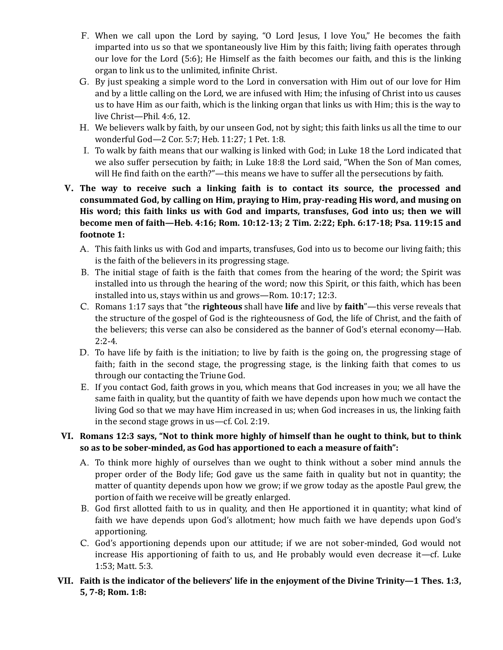- F. When we call upon the Lord by saying, "O Lord Jesus, I love You," He becomes the faith imparted into us so that we spontaneously live Him by this faith; living faith operates through our love for the Lord (5:6); He Himself as the faith becomes our faith, and this is the linking organ to link us to the unlimited, infinite Christ.
- G. By just speaking a simple word to the Lord in conversation with Him out of our love for Him and by a little calling on the Lord, we are infused with Him; the infusing of Christ into us causes us to have Him as our faith, which is the linking organ that links us with Him; this is the way to live Christ—Phil. 4:6, 12.
- H. We believers walk by faith, by our unseen God, not by sight; this faith links us all the time to our wonderful God—2 Cor. 5:7; Heb. 11:27; 1 Pet. 1:8.
- I. To walk by faith means that our walking is linked with God; in Luke 18 the Lord indicated that we also suffer persecution by faith; in Luke 18:8 the Lord said, "When the Son of Man comes, will He find faith on the earth?"—this means we have to suffer all the persecutions by faith.
- V. **The way to receive such a linking faith is to contact its source, the processed and consummated God, by calling on Him, praying to Him, pray-reading His word, and musing on His word; this faith links us with God and imparts, transfuses, God into us; then we will become men of faith—Heb. 4:16; Rom. 10:12-13; 2 Tim. 2:22; Eph. 6:17-18; Psa. 119:15 and footnote 1:**
	- A. This faith links us with God and imparts, transfuses, God into us to become our living faith; this is the faith of the believers in its progressing stage.
	- B. The initial stage of faith is the faith that comes from the hearing of the word; the Spirit was installed into us through the hearing of the word; now this Spirit, or this faith, which has been installed into us, stays within us and grows—Rom. 10:17; 12:3.
	- C. Romans 1:17 says that "the **righteous** shall have **life** and live by **faith**"—this verse reveals that the structure of the gospel of God is the righteousness of God, the life of Christ, and the faith of the believers; this verse can also be considered as the banner of God's eternal economy—Hab.  $2:2-4.$
	- D. To have life by faith is the initiation; to live by faith is the going on, the progressing stage of faith; faith in the second stage, the progressing stage, is the linking faith that comes to us through our contacting the Triune God.
	- E. If you contact God, faith grows in you, which means that God increases in you; we all have the same faith in quality, but the quantity of faith we have depends upon how much we contact the living God so that we may have Him increased in us; when God increases in us, the linking faith in the second stage grows in us—cf. Col. 2:19.

# VI. **Romans 12:3 says, "Not to think more highly of himself than he ought to think, but to think so as to be sober-minded, as God has apportioned to each a measure of faith":**

- A. To think more highly of ourselves than we ought to think without a sober mind annuls the proper order of the Body life; God gave us the same faith in quality but not in quantity; the matter of quantity depends upon how we grow; if we grow today as the apostle Paul grew, the portion of faith we receive will be greatly enlarged.
- B. God first allotted faith to us in quality, and then He apportioned it in quantity; what kind of faith we have depends upon God's allotment; how much faith we have depends upon God's apportioning.
- C. God's apportioning depends upon our attitude; if we are not sober-minded, God would not increase His apportioning of faith to us, and He probably would even decrease it—cf. Luke 1:53; Matt. 5:3.
- VII. **Faith is the indicator of the believers' life in the enjoyment of the Divine Trinity—1 Thes. 1:3, 5, 7-8; Rom. 1:8:**